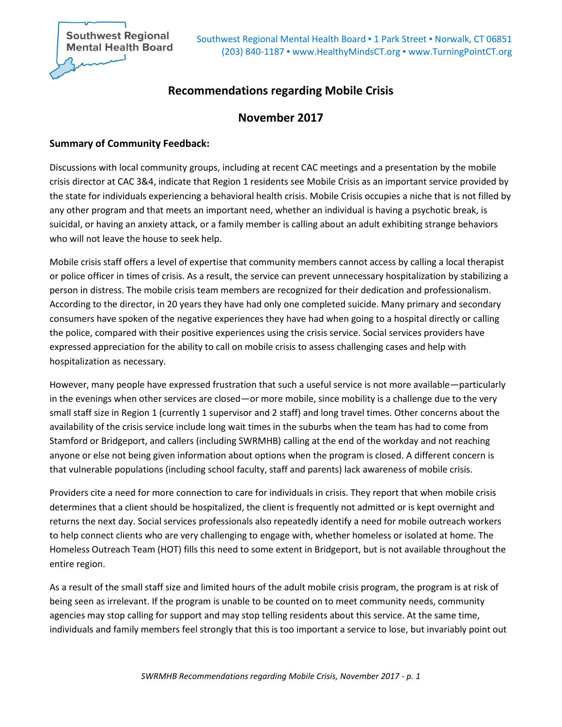**Southwest Regional Mental Health Board** 

# **Recommendations regarding Mobile Crisis**

## **November 2017**

## **Summary of Community Feedback:**

Discussions with local community groups, including at recent CAC meetings and a presentation by the mobile crisis director at CAC 3&4, indicate that Region 1 residents see Mobile Crisis as an important service provided by the state for individuals experiencing a behavioral health crisis. Mobile Crisis occupies a niche that is not filled by any other program and that meets an important need, whether an individual is having a psychotic break, is suicidal, or having an anxiety attack, or a family member is calling about an adult exhibiting strange behaviors who will not leave the house to seek help.

Mobile crisis staff offers a level of expertise that community members cannot access by calling a local therapist or police officer in times of crisis. As a result, the service can prevent unnecessary hospitalization by stabilizing a person in distress. The mobile crisis team members are recognized for their dedication and professionalism. According to the director, in 20 years they have had only one completed suicide. Many primary and secondary consumers have spoken of the negative experiences they have had when going to a hospital directly or calling the police, compared with their positive experiences using the crisis service. Social services providers have expressed appreciation for the ability to call on mobile crisis to assess challenging cases and help with hospitalization as necessary.

However, many people have expressed frustration that such a useful service is not more available—particularly in the evenings when other services are closed—or more mobile, since mobility is a challenge due to the very small staff size in Region 1 (currently 1 supervisor and 2 staff) and long travel times. Other concerns about the availability of the crisis service include long wait times in the suburbs when the team has had to come from Stamford or Bridgeport, and callers (including SWRMHB) calling at the end of the workday and not reaching anyone or else not being given information about options when the program is closed. A different concern is that vulnerable populations (including school faculty, staff and parents) lack awareness of mobile crisis.

Providers cite a need for more connection to care for individuals in crisis. They report that when mobile crisis determines that a client should be hospitalized, the client is frequently not admitted or is kept overnight and returns the next day. Social services professionals also repeatedly identify a need for mobile outreach workers to help connect clients who are very challenging to engage with, whether homeless or isolated at home. The Homeless Outreach Team (HOT) fills this need to some extent in Bridgeport, but is not available throughout the entire region.

As a result of the small staff size and limited hours of the adult mobile crisis program, the program is at risk of being seen as irrelevant. If the program is unable to be counted on to meet community needs, community agencies may stop calling for support and may stop telling residents about this service. At the same time, individuals and family members feel strongly that this is too important a service to lose, but invariably point out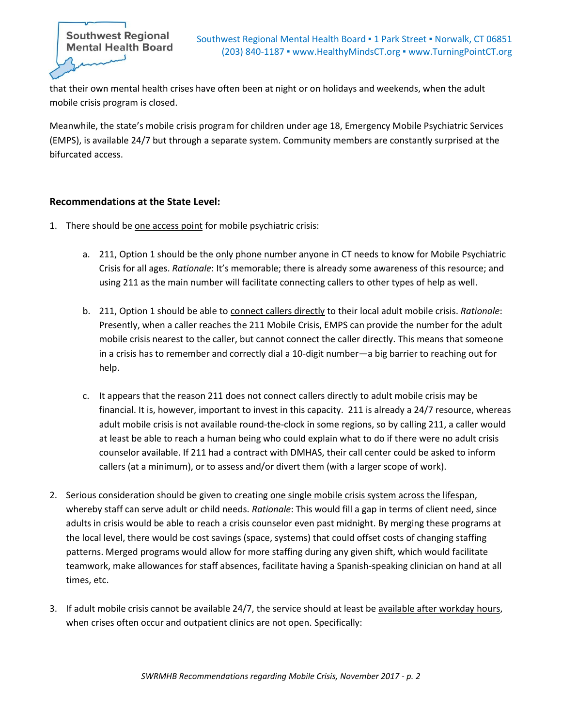**Southwest Regional Mental Health Board** 

that their own mental health crises have often been at night or on holidays and weekends, when the adult mobile crisis program is closed.

Meanwhile, the state's mobile crisis program for children under age 18, Emergency Mobile Psychiatric Services (EMPS), is available 24/7 but through a separate system. Community members are constantly surprised at the bifurcated access.

### **Recommendations at the State Level:**

- 1. There should be one access point for mobile psychiatric crisis:
	- a. 211, Option 1 should be the only phone number anyone in CT needs to know for Mobile Psychiatric Crisis for all ages. *Rationale*: It's memorable; there is already some awareness of this resource; and using 211 as the main number will facilitate connecting callers to other types of help as well.
	- b. 211, Option 1 should be able to connect callers directly to their local adult mobile crisis. *Rationale*: Presently, when a caller reaches the 211 Mobile Crisis, EMPS can provide the number for the adult mobile crisis nearest to the caller, but cannot connect the caller directly. This means that someone in a crisis has to remember and correctly dial a 10-digit number—a big barrier to reaching out for help.
	- c. It appears that the reason 211 does not connect callers directly to adult mobile crisis may be financial. It is, however, important to invest in this capacity. 211 is already a 24/7 resource, whereas adult mobile crisis is not available round-the-clock in some regions, so by calling 211, a caller would at least be able to reach a human being who could explain what to do if there were no adult crisis counselor available. If 211 had a contract with DMHAS, their call center could be asked to inform callers (at a minimum), or to assess and/or divert them (with a larger scope of work).
- 2. Serious consideration should be given to creating one single mobile crisis system across the lifespan, whereby staff can serve adult or child needs. *Rationale*: This would fill a gap in terms of client need, since adults in crisis would be able to reach a crisis counselor even past midnight. By merging these programs at the local level, there would be cost savings (space, systems) that could offset costs of changing staffing patterns. Merged programs would allow for more staffing during any given shift, which would facilitate teamwork, make allowances for staff absences, facilitate having a Spanish-speaking clinician on hand at all times, etc.
- 3. If adult mobile crisis cannot be available 24/7, the service should at least be available after workday hours, when crises often occur and outpatient clinics are not open. Specifically: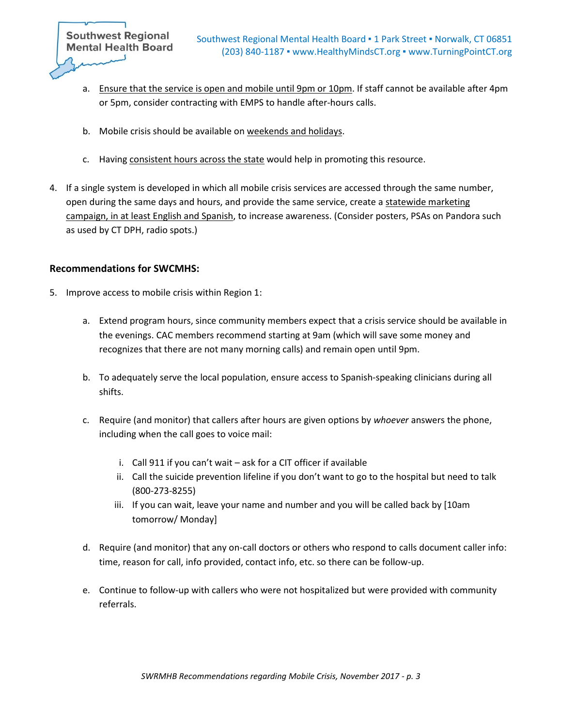- a. Ensure that the service is open and mobile until 9pm or 10pm. If staff cannot be available after 4pm or 5pm, consider contracting with EMPS to handle after-hours calls.
- b. Mobile crisis should be available on weekends and holidays.
- c. Having consistent hours across the state would help in promoting this resource.
- 4. If a single system is developed in which all mobile crisis services are accessed through the same number, open during the same days and hours, and provide the same service, create a statewide marketing campaign, in at least English and Spanish, to increase awareness. (Consider posters, PSAs on Pandora such as used by CT DPH, radio spots.)

#### **Recommendations for SWCMHS:**

- 5. Improve access to mobile crisis within Region 1:
	- a. Extend program hours, since community members expect that a crisis service should be available in the evenings. CAC members recommend starting at 9am (which will save some money and recognizes that there are not many morning calls) and remain open until 9pm.
	- b. To adequately serve the local population, ensure access to Spanish-speaking clinicians during all shifts.
	- c. Require (and monitor) that callers after hours are given options by *whoever* answers the phone, including when the call goes to voice mail:
		- i. Call 911 if you can't wait ask for a CIT officer if available
		- ii. Call the suicide prevention lifeline if you don't want to go to the hospital but need to talk (800-273-8255)
		- iii. If you can wait, leave your name and number and you will be called back by [10am tomorrow/ Monday]
	- d. Require (and monitor) that any on-call doctors or others who respond to calls document caller info: time, reason for call, info provided, contact info, etc. so there can be follow-up.
	- e. Continue to follow-up with callers who were not hospitalized but were provided with community referrals.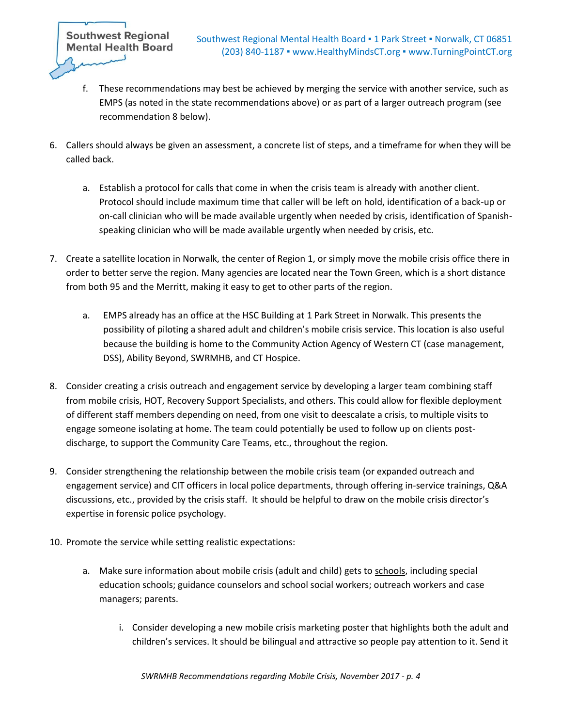- f. These recommendations may best be achieved by merging the service with another service, such as EMPS (as noted in the state recommendations above) or as part of a larger outreach program (see recommendation 8 below).
- 6. Callers should always be given an assessment, a concrete list of steps, and a timeframe for when they will be called back.
	- a. Establish a protocol for calls that come in when the crisis team is already with another client. Protocol should include maximum time that caller will be left on hold, identification of a back-up or on-call clinician who will be made available urgently when needed by crisis, identification of Spanishspeaking clinician who will be made available urgently when needed by crisis, etc.
- 7. Create a satellite location in Norwalk, the center of Region 1, or simply move the mobile crisis office there in order to better serve the region. Many agencies are located near the Town Green, which is a short distance from both 95 and the Merritt, making it easy to get to other parts of the region.
	- a. EMPS already has an office at the HSC Building at 1 Park Street in Norwalk. This presents the possibility of piloting a shared adult and children's mobile crisis service. This location is also useful because the building is home to the Community Action Agency of Western CT (case management, DSS), Ability Beyond, SWRMHB, and CT Hospice.
- 8. Consider creating a crisis outreach and engagement service by developing a larger team combining staff from mobile crisis, HOT, Recovery Support Specialists, and others. This could allow for flexible deployment of different staff members depending on need, from one visit to deescalate a crisis, to multiple visits to engage someone isolating at home. The team could potentially be used to follow up on clients postdischarge, to support the Community Care Teams, etc., throughout the region.
- 9. Consider strengthening the relationship between the mobile crisis team (or expanded outreach and engagement service) and CIT officers in local police departments, through offering in-service trainings, Q&A discussions, etc., provided by the crisis staff. It should be helpful to draw on the mobile crisis director's expertise in forensic police psychology.
- 10. Promote the service while setting realistic expectations:

**Southwest Regional Mental Health Board** 

- a. Make sure information about mobile crisis (adult and child) gets to schools, including special education schools; guidance counselors and school social workers; outreach workers and case managers; parents.
	- i. Consider developing a new mobile crisis marketing poster that highlights both the adult and children's services. It should be bilingual and attractive so people pay attention to it. Send it